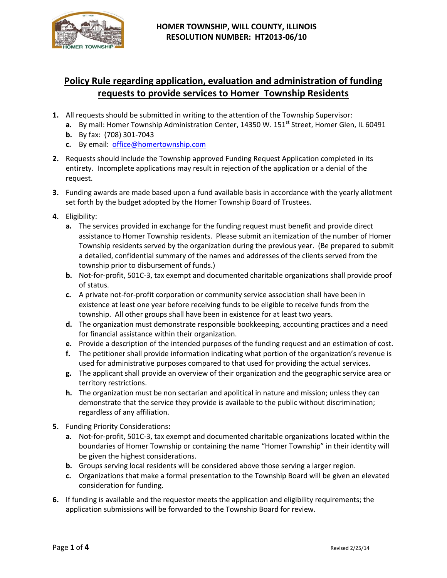

# **Policy Rule regarding application, evaluation and administration of funding requests to provide services to Homer Township Residents**

- **1.** All requests should be submitted in writing to the attention of the Township Supervisor:
	- **a.** By mail: Homer Township Administration Center, 14350 W. 151<sup>st</sup> Street, Homer Glen, IL 60491
	- **b.** By fax: (708) 301-7043
	- **c.** By email: [office@homertownship.com](mailto:office@homertownship.com)
- **2.** Requests should include the Township approved Funding Request Application completed in its entirety. Incomplete applications may result in rejection of the application or a denial of the request.
- **3.** Funding awards are made based upon a fund available basis in accordance with the yearly allotment set forth by the budget adopted by the Homer Township Board of Trustees.
- **4.** Eligibility:
	- **a.** The services provided in exchange for the funding request must benefit and provide direct assistance to Homer Township residents. Please submit an itemization of the number of Homer Township residents served by the organization during the previous year. (Be prepared to submit a detailed, confidential summary of the names and addresses of the clients served from the township prior to disbursement of funds.)
	- **b.** Not-for-profit, 501C-3, tax exempt and documented charitable organizations shall provide proof of status.
	- **c.** A private not-for-profit corporation or community service association shall have been in existence at least one year before receiving funds to be eligible to receive funds from the township. All other groups shall have been in existence for at least two years.
	- **d.** The organization must demonstrate responsible bookkeeping, accounting practices and a need for financial assistance within their organization.
	- **e.** Provide a description of the intended purposes of the funding request and an estimation of cost.
	- **f.** The petitioner shall provide information indicating what portion of the organization's revenue is used for administrative purposes compared to that used for providing the actual services.
	- **g.** The applicant shall provide an overview of their organization and the geographic service area or territory restrictions.
	- **h.** The organization must be non sectarian and apolitical in nature and mission; unless they can demonstrate that the service they provide is available to the public without discrimination; regardless of any affiliation.
- **5.** Funding Priority Considerations**:**
	- **a.** Not-for-profit, 501C-3, tax exempt and documented charitable organizations located within the boundaries of Homer Township or containing the name "Homer Township" in their identity will be given the highest considerations.
	- **b.** Groups serving local residents will be considered above those serving a larger region.
	- **c.** Organizations that make a formal presentation to the Township Board will be given an elevated consideration for funding.
- **6.** If funding is available and the requestor meets the application and eligibility requirements; the application submissions will be forwarded to the Township Board for review.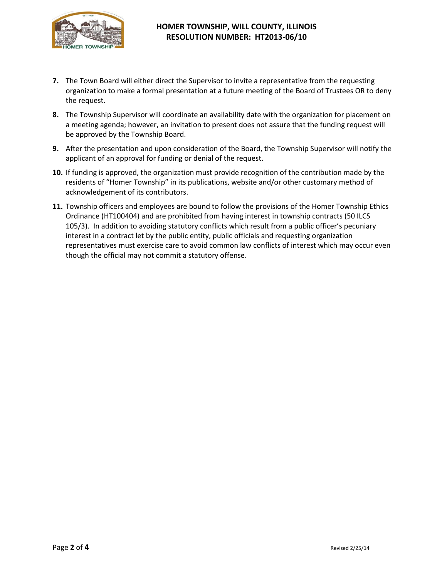

### **HOMER TOWNSHIP, WILL COUNTY, ILLINOIS RESOLUTION NUMBER: HT2013-06/10**

- **7.** The Town Board will either direct the Supervisor to invite a representative from the requesting organization to make a formal presentation at a future meeting of the Board of Trustees OR to deny the request.
- **8.** The Township Supervisor will coordinate an availability date with the organization for placement on a meeting agenda; however, an invitation to present does not assure that the funding request will be approved by the Township Board.
- **9.** After the presentation and upon consideration of the Board, the Township Supervisor will notify the applicant of an approval for funding or denial of the request.
- **10.** If funding is approved, the organization must provide recognition of the contribution made by the residents of "Homer Township" in its publications, website and/or other customary method of acknowledgement of its contributors.
- **11.** Township officers and employees are bound to follow the provisions of the Homer Township Ethics Ordinance (HT100404) and are prohibited from having interest in township contracts (50 ILCS 105/3). In addition to avoiding statutory conflicts which result from a public officer's pecuniary interest in a contract let by the public entity, public officials and requesting organization representatives must exercise care to avoid common law conflicts of interest which may occur even though the official may not commit a statutory offense.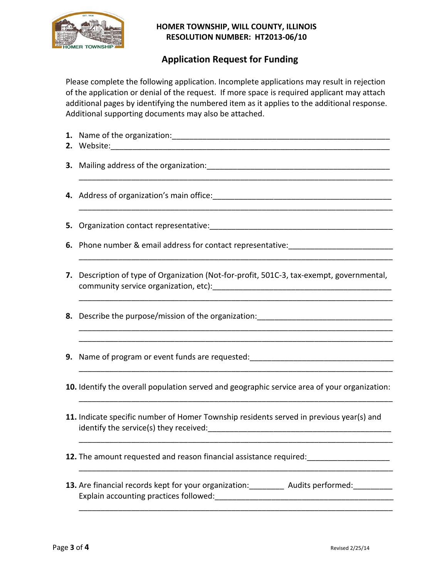

## **HOMER TOWNSHIP, WILL COUNTY, ILLINOIS RESOLUTION NUMBER: HT2013-06/10**

# **Application Request for Funding**

Please complete the following application. Incomplete applications may result in rejection of the application or denial of the request. If more space is required applicant may attach additional pages by identifying the numbered item as it applies to the additional response. Additional supporting documents may also be attached.

- **1.** Name of the organization:\_\_\_\_\_\_\_\_\_\_\_\_\_\_\_\_\_\_\_\_\_\_\_\_\_\_\_\_\_\_\_\_\_\_\_\_\_\_\_\_\_\_\_\_\_\_\_\_\_\_
- **2.** Website:\_\_\_\_\_\_\_\_\_\_\_\_\_\_\_\_\_\_\_\_\_\_\_\_\_\_\_\_\_\_\_\_\_\_\_\_\_\_\_\_\_\_\_\_\_\_\_\_\_\_\_\_\_\_\_\_\_\_\_\_\_\_\_\_

\_\_\_\_\_\_\_\_\_\_\_\_\_\_\_\_\_\_\_\_\_\_\_\_\_\_\_\_\_\_\_\_\_\_\_\_\_\_\_\_\_\_\_\_\_\_\_\_\_\_\_\_\_\_\_\_\_\_\_\_\_\_\_\_\_\_\_\_\_\_\_\_

\_\_\_\_\_\_\_\_\_\_\_\_\_\_\_\_\_\_\_\_\_\_\_\_\_\_\_\_\_\_\_\_\_\_\_\_\_\_\_\_\_\_\_\_\_\_\_\_\_\_\_\_\_\_\_\_\_\_\_\_\_\_\_\_\_\_\_\_\_\_\_\_

\_\_\_\_\_\_\_\_\_\_\_\_\_\_\_\_\_\_\_\_\_\_\_\_\_\_\_\_\_\_\_\_\_\_\_\_\_\_\_\_\_\_\_\_\_\_\_\_\_\_\_\_\_\_\_\_\_\_\_\_\_\_\_\_\_\_\_\_\_\_\_\_

\_\_\_\_\_\_\_\_\_\_\_\_\_\_\_\_\_\_\_\_\_\_\_\_\_\_\_\_\_\_\_\_\_\_\_\_\_\_\_\_\_\_\_\_\_\_\_\_\_\_\_\_\_\_\_\_\_\_\_\_\_\_\_\_\_\_\_\_\_\_\_\_ \_\_\_\_\_\_\_\_\_\_\_\_\_\_\_\_\_\_\_\_\_\_\_\_\_\_\_\_\_\_\_\_\_\_\_\_\_\_\_\_\_\_\_\_\_\_\_\_\_\_\_\_\_\_\_\_\_\_\_\_\_\_\_\_\_\_\_\_\_\_\_\_

\_\_\_\_\_\_\_\_\_\_\_\_\_\_\_\_\_\_\_\_\_\_\_\_\_\_\_\_\_\_\_\_\_\_\_\_\_\_\_\_\_\_\_\_\_\_\_\_\_\_\_\_\_\_\_\_\_\_\_\_\_\_\_\_\_\_\_\_\_\_\_\_

\_\_\_\_\_\_\_\_\_\_\_\_\_\_\_\_\_\_\_\_\_\_\_\_\_\_\_\_\_\_\_\_\_\_\_\_\_\_\_\_\_\_\_\_\_\_\_\_\_\_\_\_\_\_\_\_\_\_\_\_\_\_\_\_\_\_\_\_\_\_\_\_

\_\_\_\_\_\_\_\_\_\_\_\_\_\_\_\_\_\_\_\_\_\_\_\_\_\_\_\_\_\_\_\_\_\_\_\_\_\_\_\_\_\_\_\_\_\_\_\_\_\_\_\_\_\_\_\_\_\_\_\_\_\_\_\_\_\_\_\_\_\_\_\_

\_\_\_\_\_\_\_\_\_\_\_\_\_\_\_\_\_\_\_\_\_\_\_\_\_\_\_\_\_\_\_\_\_\_\_\_\_\_\_\_\_\_\_\_\_\_\_\_\_\_\_\_\_\_\_\_\_\_\_\_\_\_\_\_\_\_\_\_\_\_\_\_

\_\_\_\_\_\_\_\_\_\_\_\_\_\_\_\_\_\_\_\_\_\_\_\_\_\_\_\_\_\_\_\_\_\_\_\_\_\_\_\_\_\_\_\_\_\_\_\_\_\_\_\_\_\_\_\_\_\_\_\_\_\_\_\_\_\_\_\_\_\_\_\_

**3.** Mailing address of the organization:

- **4.** Address of organization's main office:\_\_\_\_\_\_\_\_\_\_\_\_\_\_\_\_\_\_\_\_\_\_\_\_\_\_\_\_\_\_\_\_\_\_\_\_\_\_\_\_\_
- **5.** Organization contact representative:\_\_\_\_\_\_\_\_\_\_\_\_\_\_\_\_\_\_\_\_\_\_\_\_\_\_\_\_\_\_\_\_\_\_\_\_\_\_\_\_\_\_
- **6.** Phone number & email address for contact representative:
- **7.** Description of type of Organization (Not-for-profit, 501C-3, tax-exempt, governmental, community service organization, etc):\_\_\_\_\_\_\_\_\_\_\_\_\_\_\_\_\_\_\_\_\_\_\_\_\_\_\_\_\_\_\_\_\_\_\_\_\_\_\_\_\_
- **8.** Describe the purpose/mission of the organization: \_\_\_\_\_\_\_\_\_\_\_\_\_\_\_\_\_\_\_\_\_\_\_\_\_\_\_
- **9.** Name of program or event funds are requested: \_\_\_\_\_\_\_\_\_\_\_\_\_\_\_\_\_\_\_\_\_\_\_\_\_\_\_\_\_\_\_
- **10.** Identify the overall population served and geographic service area of your organization:
- **11.** Indicate specific number of Homer Township residents served in previous year(s) and identify the service(s) they received:\_\_\_\_\_\_\_\_\_\_\_\_\_\_\_\_\_\_\_\_\_\_\_\_\_\_\_\_\_\_\_\_\_\_\_\_\_\_\_\_\_\_
- **12.** The amount requested and reason financial assistance required:
- **13.** Are financial records kept for your organization: \_\_\_\_\_\_\_\_ Audits performed: \_\_\_\_\_\_\_\_ Explain accounting practices followed:\_\_\_\_\_\_\_\_\_\_\_\_\_\_\_\_\_\_\_\_\_\_\_\_\_\_\_\_\_\_\_\_\_\_\_\_\_\_\_\_\_